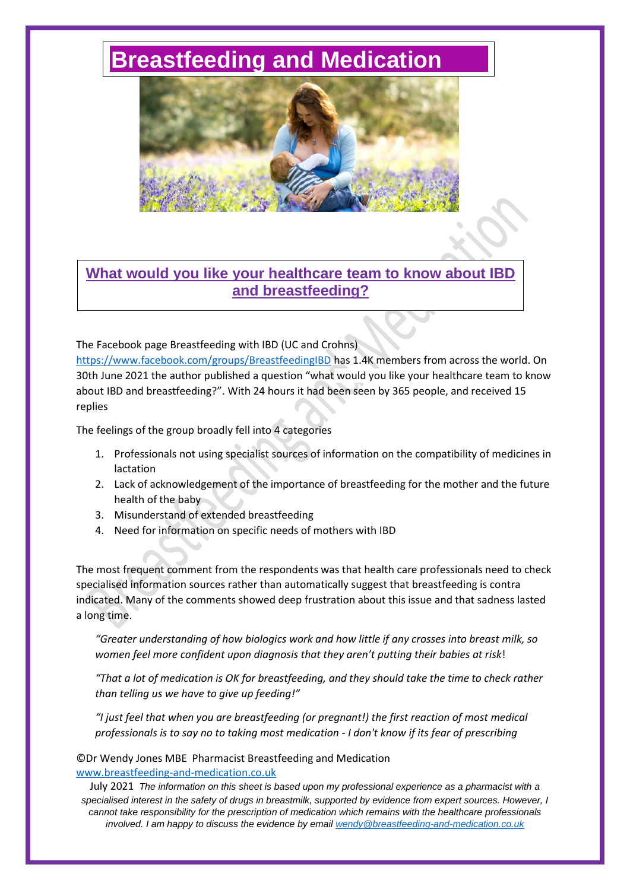# **[Breastfeeding and Medication](http://www.breastfeeding-and-medication.co.uk/)**



# **What would you like your healthcare team to know about IBD and breastfeeding?**

The Facebook page Breastfeeding with IBD (UC and Crohns)

<https://www.facebook.com/groups/BreastfeedingIBD> has 1.4K members from across the world. On 30th June 2021 the author published a question "what would you like your healthcare team to know about IBD and breastfeeding?". With 24 hours it had been seen by 365 people, and received 15 replies

The feelings of the group broadly fell into 4 categories

- 1. Professionals not using specialist sources of information on the compatibility of medicines in lactation
- 2. Lack of acknowledgement of the importance of breastfeeding for the mother and the future health of the baby
- 3. Misunderstand of extended breastfeeding
- 4. Need for information on specific needs of mothers with IBD

The most frequent comment from the respondents was that health care professionals need to check specialised information sources rather than automatically suggest that breastfeeding is contra indicated. Many of the comments showed deep frustration about this issue and that sadness lasted a long time.

*"Greater understanding of how biologics work and how little if any crosses into breast milk, so women feel more confident upon diagnosis that they aren't putting their babies at risk*!

*"That a lot of medication is OK for breastfeeding, and they should take the time to check rather than telling us we have to give up feeding!"*

*"I just feel that when you are breastfeeding (or pregnant!) the first reaction of most medical professionals is to say no to taking most medication - I don't know if its fear of prescribing* 

#### ©Dr Wendy Jones MBE Pharmacist Breastfeeding and Medication [www.breastfeeding-and-medication.co.uk](http://www.breastfeeding-and-medication.co.uk/)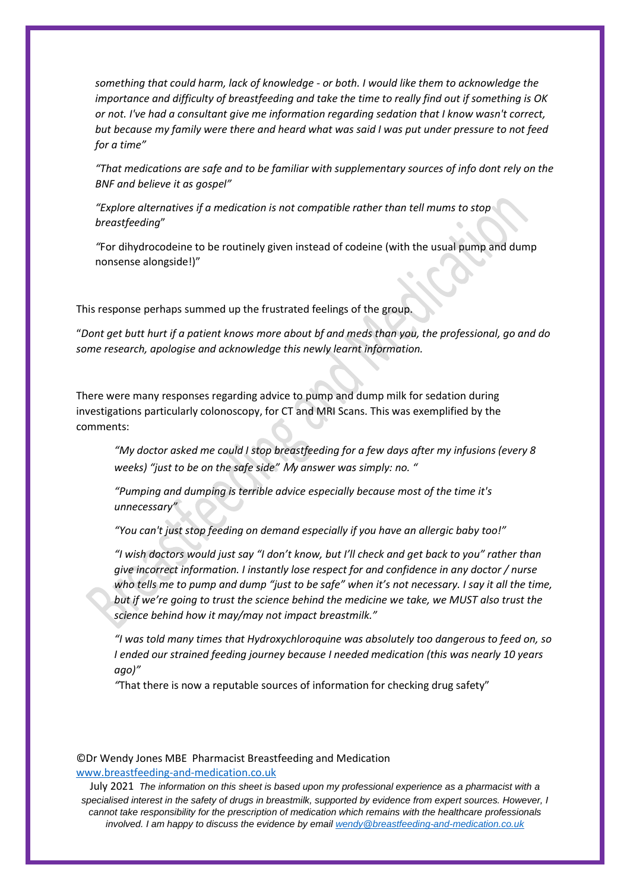*something that could harm, lack of knowledge - or both. I would like them to acknowledge the importance and difficulty of breastfeeding and take the time to really find out if something is OK or not. I've had a consultant give me information regarding sedation that I know wasn't correct, but because my family were there and heard what was said I was put under pressure to not feed for a time"*

*"That medications are safe and to be familiar with supplementary sources of info dont rely on the BNF and believe it as gospel"*

*"Explore alternatives if a medication is not compatible rather than tell mums to stop breastfeeding*"

*"*For dihydrocodeine to be routinely given instead of codeine (with the usual pump and dump nonsense alongside!)"

This response perhaps summed up the frustrated feelings of the group.

"*Dont get butt hurt if a patient knows more about bf and meds than you, the professional, go and do some research, apologise and acknowledge this newly learnt information.*

There were many responses regarding advice to pump and dump milk for sedation during investigations particularly colonoscopy, for CT and MRI Scans. This was exemplified by the comments:

*"My doctor asked me could I stop breastfeeding for a few days after my infusions (every 8 weeks) "just to be on the safe side"* M*y answer was simply: no. "*

*"Pumping and dumping is terrible advice especially because most of the time it's unnecessary"*

*"You can't just stop feeding on demand especially if you have an allergic baby too!"*

*"I wish doctors would just say "I don't know, but I'll check and get back to you" rather than give incorrect information. I instantly lose respect for and confidence in any doctor / nurse who tells me to pump and dump "just to be safe" when it's not necessary. I say it all the time, but if we're going to trust the science behind the medicine we take, we MUST also trust the science behind how it may/may not impact breastmilk."*

*"I was told many times that Hydroxychloroquine was absolutely too dangerous to feed on, so I ended our strained feeding journey because I needed medication (this was nearly 10 years ago)"*

*"*That there is now a reputable sources of information for checking drug safety"

### ©Dr Wendy Jones MBE Pharmacist Breastfeeding and Medication [www.breastfeeding-and-medication.co.uk](http://www.breastfeeding-and-medication.co.uk/)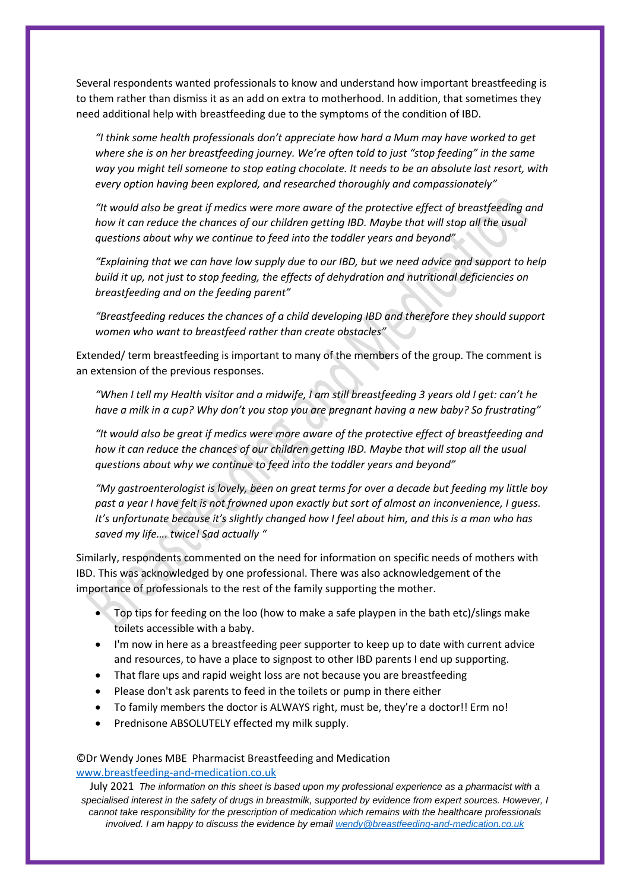Several respondents wanted professionals to know and understand how important breastfeeding is to them rather than dismiss it as an add on extra to motherhood. In addition, that sometimes they need additional help with breastfeeding due to the symptoms of the condition of IBD.

*"I think some health professionals don't appreciate how hard a Mum may have worked to get where she is on her breastfeeding journey. We're often told to just "stop feeding" in the same way you might tell someone to stop eating chocolate. It needs to be an absolute last resort, with every option having been explored, and researched thoroughly and compassionately"*

*"It would also be great if medics were more aware of the protective effect of breastfeeding and how it can reduce the chances of our children getting IBD. Maybe that will stop all the usual questions about why we continue to feed into the toddler years and beyond"*

*"Explaining that we can have low supply due to our IBD, but we need advice and support to help build it up, not just to stop feeding, the effects of dehydration and nutritional deficiencies on breastfeeding and on the feeding parent"*

*"Breastfeeding reduces the chances of a child developing IBD and therefore they should support women who want to breastfeed rather than create obstacles"*

Extended/ term breastfeeding is important to many of the members of the group. The comment is an extension of the previous responses.

*"When I tell my Health visitor and a midwife, I am still breastfeeding 3 years old I get: can't he have a milk in a cup? Why don't you stop you are pregnant having a new baby? So frustrating"*

*"It would also be great if medics were more aware of the protective effect of breastfeeding and how it can reduce the chances of our children getting IBD. Maybe that will stop all the usual questions about why we continue to feed into the toddler years and beyond"*

*"My gastroenterologist is lovely, been on great terms for over a decade but feeding my little boy past a year I have felt is not frowned upon exactly but sort of almost an inconvenience, I guess. It's unfortunate because it's slightly changed how I feel about him, and this is a man who has saved my life…. twice! Sad actually "*

Similarly, respondents commented on the need for information on specific needs of mothers with IBD. This was acknowledged by one professional. There was also acknowledgement of the importance of professionals to the rest of the family supporting the mother.

- Top tips for feeding on the loo (how to make a safe playpen in the bath etc)/slings make toilets accessible with a baby.
- I'm now in here as a breastfeeding peer supporter to keep up to date with current advice and resources, to have a place to signpost to other IBD parents I end up supporting.
- That flare ups and rapid weight loss are not because you are breastfeeding
- Please don't ask parents to feed in the toilets or pump in there either
- To family members the doctor is ALWAYS right, must be, they're a doctor!! Erm no!
- Prednisone ABSOLUTELY effected my milk supply.

## ©Dr Wendy Jones MBE Pharmacist Breastfeeding and Medication [www.breastfeeding-and-medication.co.uk](http://www.breastfeeding-and-medication.co.uk/)